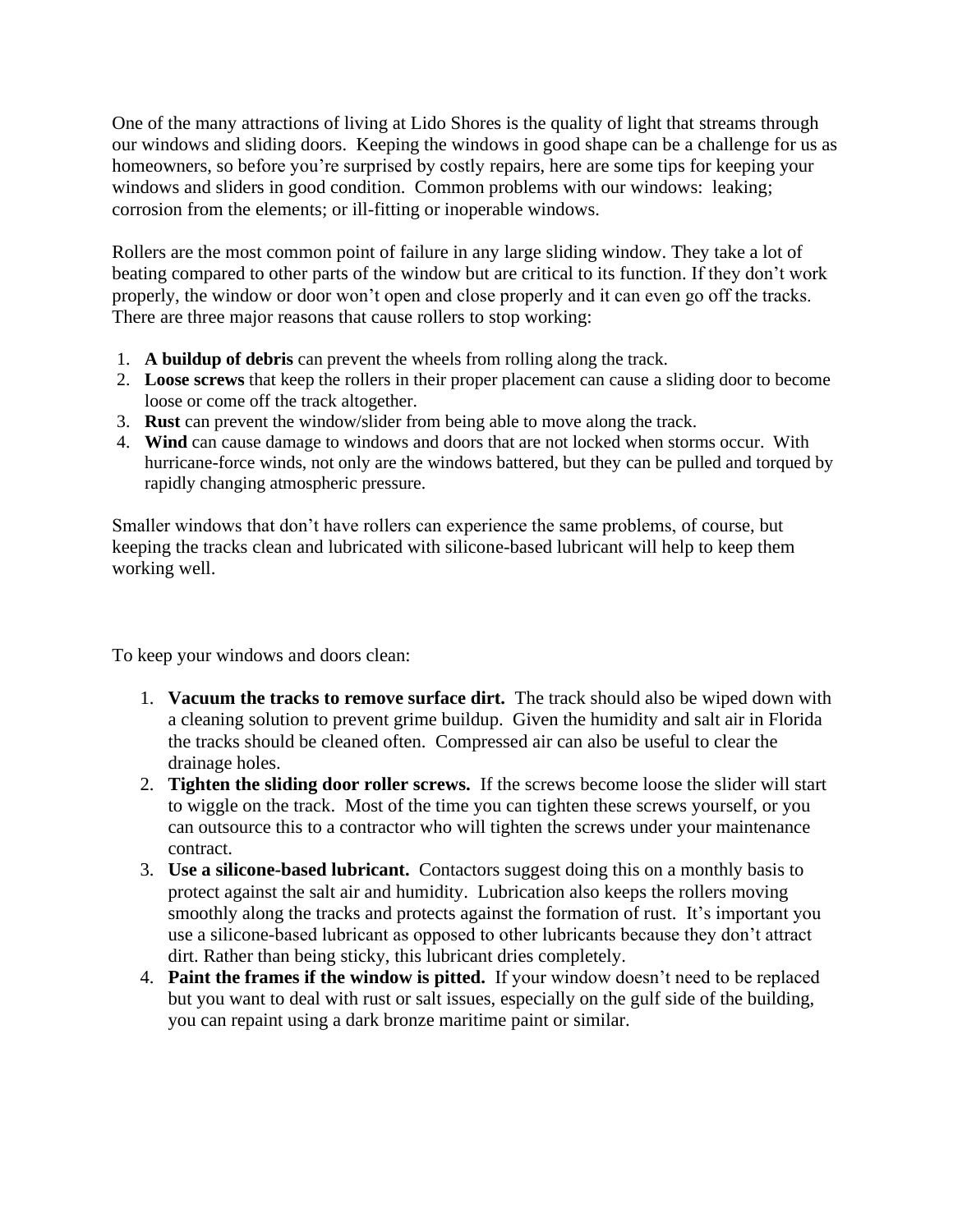One of the many attractions of living at Lido Shores is the quality of light that streams through our windows and sliding doors. Keeping the windows in good shape can be a challenge for us as homeowners, so before you're surprised by costly repairs, here are some tips for keeping your windows and sliders in good condition. Common problems with our windows: leaking; corrosion from the elements; or ill-fitting or inoperable windows.

Rollers are the most common point of failure in any large sliding window. They take a lot of beating compared to other parts of the window but are critical to its function. If they don't work properly, the window or door won't open and close properly and it can even go off the tracks. There are three major reasons that cause rollers to stop working:

- 1. **A buildup of debris** can prevent the wheels from rolling along the track.
- 2. **Loose screws** that keep the rollers in their proper placement can cause a sliding door to become loose or come off the track altogether.
- 3. **Rust** can prevent the window/slider from being able to move along the track.
- 4. **Wind** can cause damage to windows and doors that are not locked when storms occur. With hurricane-force winds, not only are the windows battered, but they can be pulled and torqued by rapidly changing atmospheric pressure.

Smaller windows that don't have rollers can experience the same problems, of course, but keeping the tracks clean and lubricated with silicone-based lubricant will help to keep them working well.

To keep your windows and doors clean:

- 1. **Vacuum the tracks to remove surface dirt.** The track should also be wiped down with a cleaning solution to prevent grime buildup. Given the humidity and salt air in Florida the tracks should be cleaned often. Compressed air can also be useful to clear the drainage holes.
- 2. **Tighten the sliding door roller screws.** If the screws become loose the slider will start to wiggle on the track. Most of the time you can tighten these screws yourself, or you can outsource this to a contractor who will tighten the screws under your maintenance contract.
- 3. **Use a silicone-based lubricant.** Contactors suggest doing this on a monthly basis to protect against the salt air and humidity. Lubrication also keeps the rollers moving smoothly along the tracks and protects against the formation of rust. It's important you use a silicone-based lubricant as opposed to other lubricants because they don't attract dirt. Rather than being sticky, this lubricant dries completely.
- 4. **Paint the frames if the window is pitted.** If your window doesn't need to be replaced but you want to deal with rust or salt issues, especially on the gulf side of the building, you can repaint using a dark bronze maritime paint or similar.